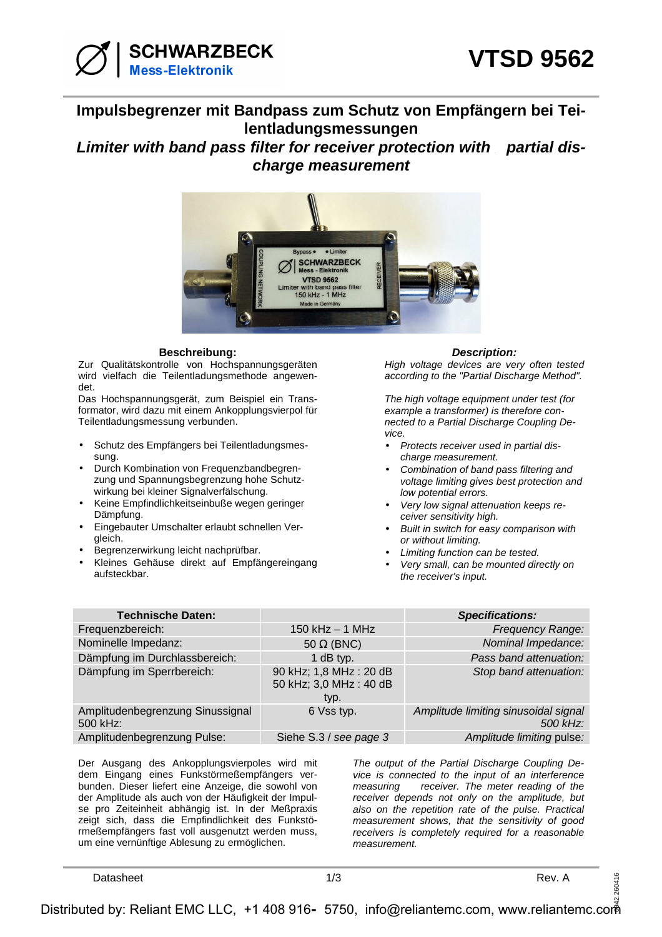

## **Impulsbegrenzer mit Bandpass zum Schutz von Empfängern bei Teilentladungsmessungen**

**Limiter with band pass filter for receiver protection with partial discharge measurement** 



## **Beschreibung: Description:**

Zur Qualitätskontrolle von Hochspannungsgeräten wird vielfach die Teilentladungsmethode angewendet.

Das Hochspannungsgerät, zum Beispiel ein Transformator, wird dazu mit einem Ankopplungsvierpol für Teilentladungsmessung verbunden.

- Schutz des Empfängers bei Teilentladungsmessung.
- Durch Kombination von Frequenzbandbegrenzung und Spannungsbegrenzung hohe Schutzwirkung bei kleiner Signalverfälschung.
- Keine Empfindlichkeitseinbuße wegen geringer Dämpfung.
- Eingebauter Umschalter erlaubt schnellen Vergleich.
- Begrenzerwirkung leicht nachprüfbar.
- Kleines Gehäuse direkt auf Empfängereingang aufsteckbar.

High voltage devices are very often tested according to the "Partial Discharge Method".

The high voltage equipment under test (for example a transformer) is therefore connected to a Partial Discharge Coupling Device.

- Protects receiver used in partial discharge measurement.
- Combination of band pass filtering and voltage limiting gives best protection and low potential errors.
- Very low signal attenuation keeps receiver sensitivity high.
- Built in switch for easy comparison with or without limiting.
- Limiting function can be tested.
- Very small, can be mounted directly on the receiver's input.

| <b>Technische Daten:</b>                     |                                                            | <b>Specifications:</b>                           |
|----------------------------------------------|------------------------------------------------------------|--------------------------------------------------|
| Frequenzbereich:                             | $150$ kHz $-1$ MHz                                         | <b>Frequency Range:</b>                          |
| Nominelle Impedanz:                          | 50 $\Omega$ (BNC)                                          | Nominal Impedance:                               |
| Dämpfung im Durchlassbereich:                | 1 dB typ.                                                  | Pass band attenuation:                           |
| Dämpfung im Sperrbereich:                    | 90 kHz; 1,8 MHz : 20 dB<br>50 kHz; 3,0 MHz : 40 dB<br>typ. | Stop band attenuation:                           |
| Amplitudenbegrenzung Sinussignal<br>500 kHz: | 6 Vss typ.                                                 | Amplitude limiting sinusoidal signal<br>500 kHz: |
| Amplitudenbegrenzung Pulse:                  | Siehe S.3 / see page 3                                     | Amplitude limiting pulse:                        |

Der Ausgang des Ankopplungsvierpoles wird mit dem Eingang eines Funkstörmeßempfängers verbunden. Dieser liefert eine Anzeige, die sowohl von der Amplitude als auch von der Häufigkeit der Impulse pro Zeiteinheit abhängig ist. In der Meßpraxis zeigt sich, dass die Empfindlichkeit des Funkstörmeßempfängers fast voll ausgenutzt werden muss, um eine vernünftige Ablesung zu ermöglichen.

The output of the Partial Discharge Coupling Device is connected to the input of an interference measuring receiver. The meter reading of the receiver depends not only on the amplitude, but also on the repetition rate of the pulse. Practical measurement shows, that the sensitivity of good receivers is completely required for a reasonable measurement.

**Datasheet** Rev. A

260416

0942.260416 Distributed by: Reliant EMC LLC, +1 408 916 5750, info@reliantemc.com, www.reliantemc.com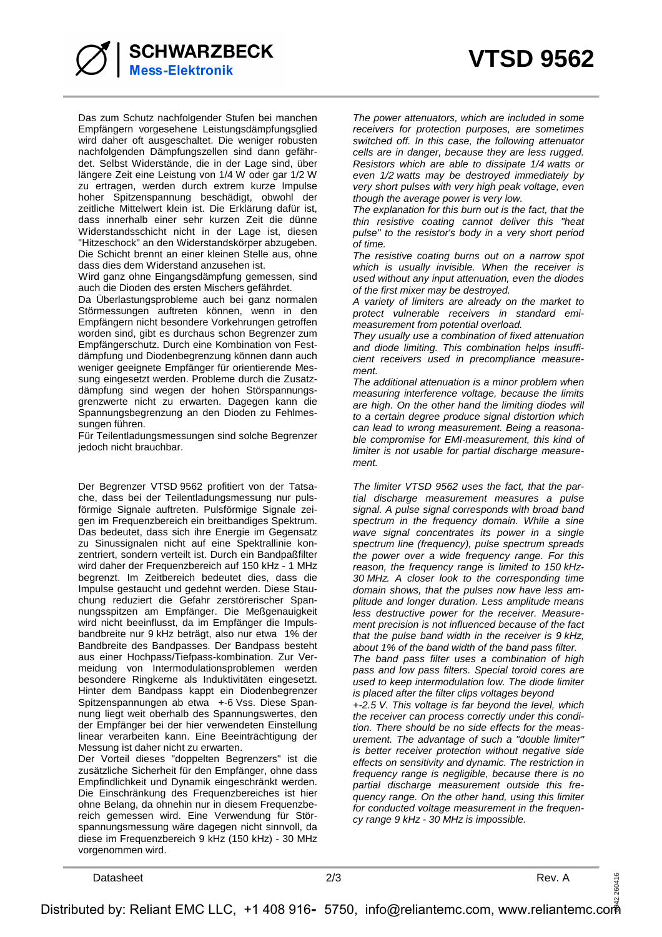

**SCHWARZBECK Mess-Elektronik** 

Das zum Schutz nachfolgender Stufen bei manchen Empfängern vorgesehene Leistungsdämpfungsglied wird daher oft ausgeschaltet. Die weniger robusten nachfolgenden Dämpfungszellen sind dann gefährdet. Selbst Widerstände, die in der Lage sind, über längere Zeit eine Leistung von 1/4 W oder gar 1/2 W zu ertragen, werden durch extrem kurze Impulse hoher Spitzenspannung beschädigt, obwohl der zeitliche Mittelwert klein ist. Die Erklärung dafür ist, dass innerhalb einer sehr kurzen Zeit die dünne Widerstandsschicht nicht in der Lage ist, diesen "Hitzeschock" an den Widerstandskörper abzugeben. Die Schicht brennt an einer kleinen Stelle aus, ohne dass dies dem Widerstand anzusehen ist.

Wird ganz ohne Eingangsdämpfung gemessen, sind auch die Dioden des ersten Mischers gefährdet.

Da Überlastungsprobleme auch bei ganz normalen Störmessungen auftreten können, wenn in den Empfängern nicht besondere Vorkehrungen getroffen worden sind, gibt es durchaus schon Begrenzer zum Empfängerschutz. Durch eine Kombination von Festdämpfung und Diodenbegrenzung können dann auch weniger geeignete Empfänger für orientierende Messung eingesetzt werden. Probleme durch die Zusatzdämpfung sind wegen der hohen Störspannungsgrenzwerte nicht zu erwarten. Dagegen kann die Spannungsbegrenzung an den Dioden zu Fehlmessungen führen.

Für Teilentladungsmessungen sind solche Begrenzer jedoch nicht brauchbar.

Der Begrenzer VTSD 9562 profitiert von der Tatsache, dass bei der Teilentladungsmessung nur pulsförmige Signale auftreten. Pulsförmige Signale zeigen im Frequenzbereich ein breitbandiges Spektrum. Das bedeutet, dass sich ihre Energie im Gegensatz zu Sinussignalen nicht auf eine Spektrallinie konzentriert, sondern verteilt ist. Durch ein Bandpaßfilter wird daher der Frequenzbereich auf 150 kHz - 1 MHz begrenzt. Im Zeitbereich bedeutet dies, dass die Impulse gestaucht und gedehnt werden. Diese Stauchung reduziert die Gefahr zerstörerischer Spannungsspitzen am Empfänger. Die Meßgenauigkeit wird nicht beeinflusst, da im Empfänger die Impulsbandbreite nur 9 kHz beträgt, also nur etwa 1% der Bandbreite des Bandpasses. Der Bandpass besteht aus einer Hochpass/Tiefpass-kombination. Zur Vermeidung von Intermodulationsproblemen werden besondere Ringkerne als Induktivitäten eingesetzt. Hinter dem Bandpass kappt ein Diodenbegrenzer Spitzenspannungen ab etwa +-6 Vss. Diese Spannung liegt weit oberhalb des Spannungswertes, den der Empfänger bei der hier verwendeten Einstellung linear verarbeiten kann. Eine Beeinträchtigung der Messung ist daher nicht zu erwarten.

Der Vorteil dieses "doppelten Begrenzers" ist die zusätzliche Sicherheit für den Empfänger, ohne dass Empfindlichkeit und Dynamik eingeschränkt werden. Die Einschränkung des Frequenzbereiches ist hier ohne Belang, da ohnehin nur in diesem Frequenzbereich gemessen wird. Eine Verwendung für Störspannungsmessung wäre dagegen nicht sinnvoll, da diese im Frequenzbereich 9 kHz (150 kHz) - 30 MHz vorgenommen wird.

The power attenuators, which are included in some receivers for protection purposes, are sometimes switched off. In this case, the following attenuator cells are in danger, because they are less rugged. Resistors which are able to dissipate 1/4 watts or even 1/2 watts may be destroyed immediately by very short pulses with very high peak voltage, even though the average power is very low.

The explanation for this burn out is the fact, that the thin resistive coating cannot deliver this "heat pulse" to the resistor's body in a very short period of time.

The resistive coating burns out on a narrow spot which is usually invisible. When the receiver is used without any input attenuation, even the diodes of the first mixer may be destroyed.

A variety of limiters are already on the market to protect vulnerable receivers in standard emimeasurement from potential overload.

They usually use a combination of fixed attenuation and diode limiting. This combination helps insufficient receivers used in precompliance measurement.

The additional attenuation is a minor problem when measuring interference voltage, because the limits are high. On the other hand the limiting diodes will to a certain degree produce signal distortion which can lead to wrong measurement. Being a reasonable compromise for EMI-measurement, this kind of limiter is not usable for partial discharge measurement.

The limiter VTSD 9562 uses the fact, that the partial discharge measurement measures a pulse signal. A pulse signal corresponds with broad band spectrum in the frequency domain. While a sine wave signal concentrates its power in a single spectrum line (frequency), pulse spectrum spreads the power over a wide frequency range. For this reason, the frequency range is limited to 150 kHz-30 MHz. A closer look to the corresponding time domain shows, that the pulses now have less amplitude and longer duration. Less amplitude means less destructive power for the receiver. Measurement precision is not influenced because of the fact that the pulse band width in the receiver is 9 kHz, about 1% of the band width of the band pass filter. The band pass filter uses a combination of high

pass and low pass filters. Special toroid cores are used to keep intermodulation low. The diode limiter is placed after the filter clips voltages beyond

+-2.5 V. This voltage is far beyond the level, which the receiver can process correctly under this condition. There should be no side effects for the measurement. The advantage of such a "double limiter" is better receiver protection without negative side effects on sensitivity and dynamic. The restriction in frequency range is negligible, because there is no partial discharge measurement outside this frequency range. On the other hand, using this limiter for conducted voltage measurement in the frequency range 9 kHz - 30 MHz is impossible.

Datasheet 2/3 Rev. A

260416

0942.260416 Distributed by: Reliant EMC LLC, +1 408 916 5750, info@reliantemc.com, www.reliantemc.com